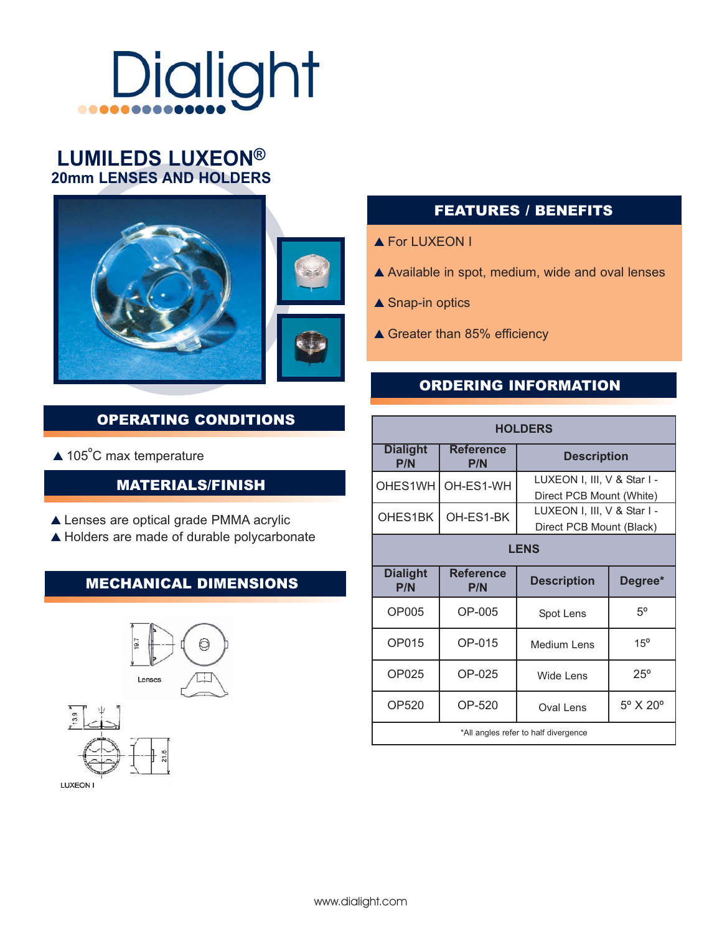## **Dialight** ....

# **LUMILEDS LUXEON®**<br>20mm LENSES AND HOLDERS



#### OPERATING CONDITIONS

 $\triangle$  105°C max temperature

#### MATERIALS/FINISH

- ▲ Lenses are optical grade PMMA acrylic
- ▲ Holders are made of durable polycarbonate

#### MECHANICAL DIMENSIONS



#### FEATURES / BENEFITS

- ▲ For LUXEON I
- $\triangle$  Available in spot, medium, wide and oval lenses
- $\triangle$  Snap-in optics
- ▲ Greater than 85% efficiency

#### ORDERING INFORMATION

| <b>HOLDERS</b>                       |                         |                                                         |                        |
|--------------------------------------|-------------------------|---------------------------------------------------------|------------------------|
| <b>Dialight</b><br><b>P/N</b>        | <b>Reference</b><br>P/N | <b>Description</b>                                      |                        |
| OHES1WH                              | OH-ES1-WH               | LUXEON I, III, V & Star I -<br>Direct PCB Mount (White) |                        |
| OHES1BK                              | OH-ES1-BK               | LUXEON I, III, V & Star I -<br>Direct PCB Mount (Black) |                        |
| <b>LENS</b>                          |                         |                                                         |                        |
| <b>Dialight</b><br>P/N               | <b>Reference</b><br>P/N | <b>Description</b>                                      | Degree*                |
| OP005                                | OP-005                  | Spot Lens                                               | 50                     |
| OP015                                | OP-015                  | Medium Lens                                             | $15^{\circ}$           |
| OP025                                | OP-025                  | Wide Lens                                               | $25^{\circ}$           |
| OP520                                | OP-520                  | Oval Lens                                               | $5^\circ$ X $20^\circ$ |
| *All angles refer to half divergence |                         |                                                         |                        |